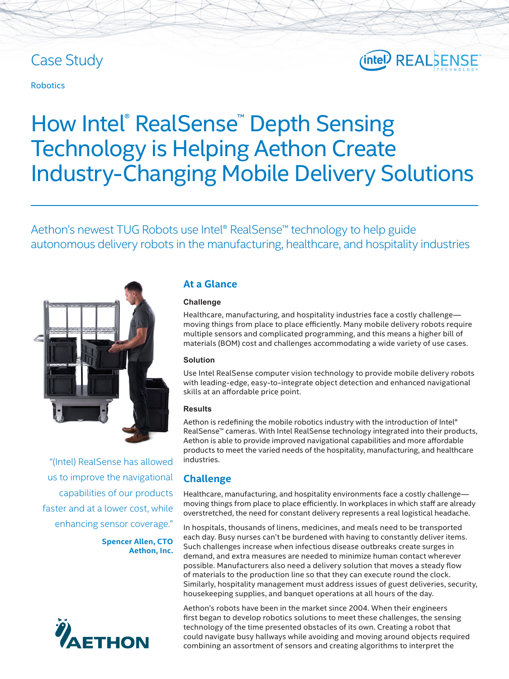### Case Study

## (intel) REALSENSE

#### Robotics

# How Intel® RealSense<sup>™</sup> Depth Sensing Technology is Helping Aethon Create Industry-Changing Mobile Delivery Solutions

Aethon's newest TUG Robots use Intel® RealSense™ technology to help guide autonomous delivery robots in the manufacturing, healthcare, and hospitality industries



"(Intel) RealSense has allowed us to improve the navigational capabilities of our products faster and at a lower cost, while enhancing sensor coverage."

> **Spencer Allen, CTO Aethon, Inc.**



#### **At a Glance**

#### **Challenge**

Healthcare, manufacturing, and hospitality industries face a costly challenge moving things from place to place efficiently. Many mobile delivery robots require multiple sensors and complicated programming, and this means a higher bill of materials (BOM) cost and challenges accommodating a wide variety of use cases.

#### **Solution**

Use Intel RealSense computer vision technology to provide mobile delivery robots with leading-edge, easy-to-integrate object detection and enhanced navigational skills at an affordable price point.

#### **Results**

Aethon is redefining the mobile robotics industry with the introduction of Intel® RealSense™ cameras. With Intel RealSense technology integrated into their products, Aethon is able to provide improved navigational capabilities and more affordable products to meet the varied needs of the hospitality, manufacturing, and healthcare industries.

#### **Challenge**

Healthcare, manufacturing, and hospitality environments face a costly challenge moving things from place to place efficiently. In workplaces in which staff are already overstretched, the need for constant delivery represents a real logistical headache.

In hospitals, thousands of linens, medicines, and meals need to be transported each day. Busy nurses can't be burdened with having to constantly deliver items. Such challenges increase when infectious disease outbreaks create surges in demand, and extra measures are needed to minimize human contact wherever possible. Manufacturers also need a delivery solution that moves a steady flow of materials to the production line so that they can execute round the clock. Similarly, hospitality management must address issues of guest deliveries, security, housekeeping supplies, and banquet operations at all hours of the day.

Aethon's robots have been in the market since 2004. When their engineers first began to develop robotics solutions to meet these challenges, the sensing technology of the time presented obstacles of its own. Creating a robot that could navigate busy hallways while avoiding and moving around objects required combining an assortment of sensors and creating algorithms to interpret the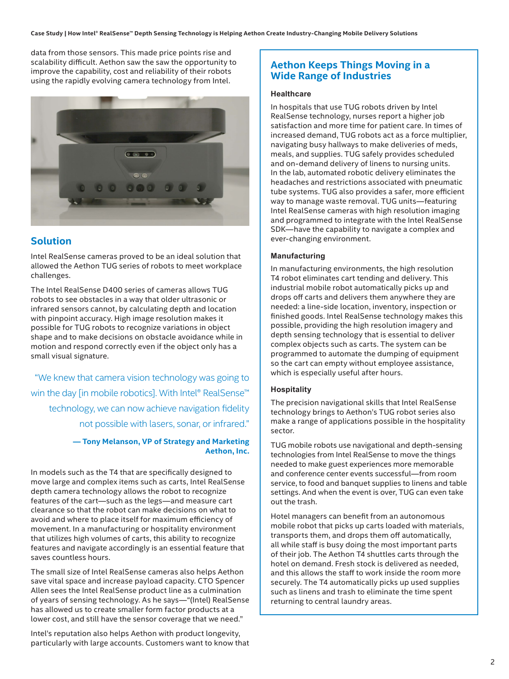data from those sensors. This made price points rise and scalability difficult. Aethon saw the saw the opportunity to improve the capability, cost and reliability of their robots using the rapidly evolving camera technology from Intel.



#### **Solution**

Intel RealSense cameras proved to be an ideal solution that allowed the Aethon TUG series of robots to meet workplace challenges.

The Intel RealSense D400 series of cameras allows TUG robots to see obstacles in a way that older ultrasonic or infrared sensors cannot, by calculating depth and location with pinpoint accuracy. High image resolution makes it possible for TUG robots to recognize variations in object shape and to make decisions on obstacle avoidance while in motion and respond correctly even if the object only has a small visual signature.

"We knew that camera vision technology was going to win the day [in mobile robotics]. With Intel® RealSense™ technology, we can now achieve navigation fidelity not possible with lasers, sonar, or infrared."

#### **— Tony Melanson, VP of Strategy and Marketing Aethon, Inc.**

In models such as the T4 that are specifically designed to move large and complex items such as carts, Intel RealSense depth camera technology allows the robot to recognize features of the cart—such as the legs—and measure cart clearance so that the robot can make decisions on what to avoid and where to place itself for maximum efficiency of movement. In a manufacturing or hospitality environment that utilizes high volumes of carts, this ability to recognize features and navigate accordingly is an essential feature that saves countless hours.

The small size of Intel RealSense cameras also helps Aethon save vital space and increase payload capacity. CTO Spencer Allen sees the Intel RealSense product line as a culmination of years of sensing technology. As he says—"(Intel) RealSense has allowed us to create smaller form factor products at a lower cost, and still have the sensor coverage that we need."

Intel's reputation also helps Aethon with product longevity, particularly with large accounts. Customers want to know that

#### **Aethon Keeps Things Moving in a Wide Range of Industries**

#### **Healthcare**

In hospitals that use TUG robots driven by Intel RealSense technology, nurses report a higher job satisfaction and more time for patient care. In times of increased demand, TUG robots act as a force multiplier, navigating busy hallways to make deliveries of meds, meals, and supplies. TUG safely provides scheduled and on-demand delivery of linens to nursing units. In the lab, automated robotic delivery eliminates the headaches and restrictions associated with pneumatic tube systems. TUG also provides a safer, more efficient way to manage waste removal. TUG units—featuring Intel RealSense cameras with high resolution imaging and programmed to integrate with the Intel RealSense SDK—have the capability to navigate a complex and ever-changing environment.

#### **Manufacturing**

In manufacturing environments, the high resolution T4 robot eliminates cart tending and delivery. This industrial mobile robot automatically picks up and drops off carts and delivers them anywhere they are needed: a line-side location, inventory, inspection or finished goods. Intel RealSense technology makes this possible, providing the high resolution imagery and depth sensing technology that is essential to deliver complex objects such as carts. The system can be programmed to automate the dumping of equipment so the cart can empty without employee assistance, which is especially useful after hours.

#### **Hospitality**

The precision navigational skills that Intel RealSense technology brings to Aethon's TUG robot series also make a range of applications possible in the hospitality sector.

TUG mobile robots use navigational and depth-sensing technologies from Intel RealSense to move the things needed to make guest experiences more memorable and conference center events successful—from room service, to food and banquet supplies to linens and table settings. And when the event is over, TUG can even take out the trash.

Hotel managers can benefit from an autonomous mobile robot that picks up carts loaded with materials, transports them, and drops them off automatically, all while staff is busy doing the most important parts of their job. The Aethon T4 shuttles carts through the hotel on demand. Fresh stock is delivered as needed, and this allows the staff to work inside the room more securely. The T4 automatically picks up used supplies such as linens and trash to eliminate the time spent returning to central laundry areas.